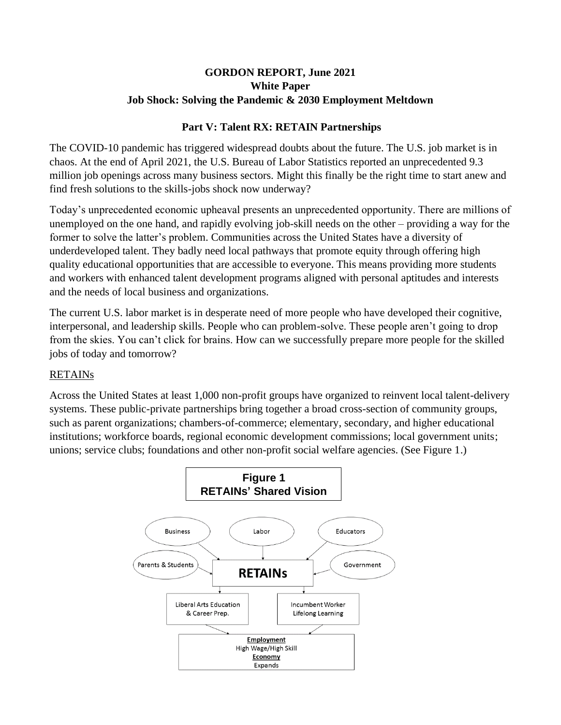## **GORDON REPORT, June 2021 White Paper Job Shock: Solving the Pandemic & 2030 Employment Meltdown**

#### **Part V: Talent RX: RETAIN Partnerships**

The COVID-10 pandemic has triggered widespread doubts about the future. The U.S. job market is in chaos. At the end of April 2021, the U.S. Bureau of Labor Statistics reported an unprecedented 9.3 million job openings across many business sectors. Might this finally be the right time to start anew and find fresh solutions to the skills-jobs shock now underway?

Today's unprecedented economic upheaval presents an unprecedented opportunity. There are millions of unemployed on the one hand, and rapidly evolving job-skill needs on the other – providing a way for the former to solve the latter's problem. Communities across the United States have a diversity of underdeveloped talent. They badly need local pathways that promote equity through offering high quality educational opportunities that are accessible to everyone. This means providing more students and workers with enhanced talent development programs aligned with personal aptitudes and interests and the needs of local business and organizations.

The current U.S. labor market is in desperate need of more people who have developed their cognitive, interpersonal, and leadership skills. People who can problem-solve. These people aren't going to drop from the skies. You can't click for brains. How can we successfully prepare more people for the skilled jobs of today and tomorrow?

# RETAINs

Across the United States at least 1,000 non-profit groups have organized to reinvent local talent-delivery systems. These public-private partnerships bring together a broad cross-section of community groups, such as parent organizations; chambers-of-commerce; elementary, secondary, and higher educational institutions; workforce boards, regional economic development commissions; local government units; unions; service clubs; foundations and other non-profit social welfare agencies. (See Figure 1.)

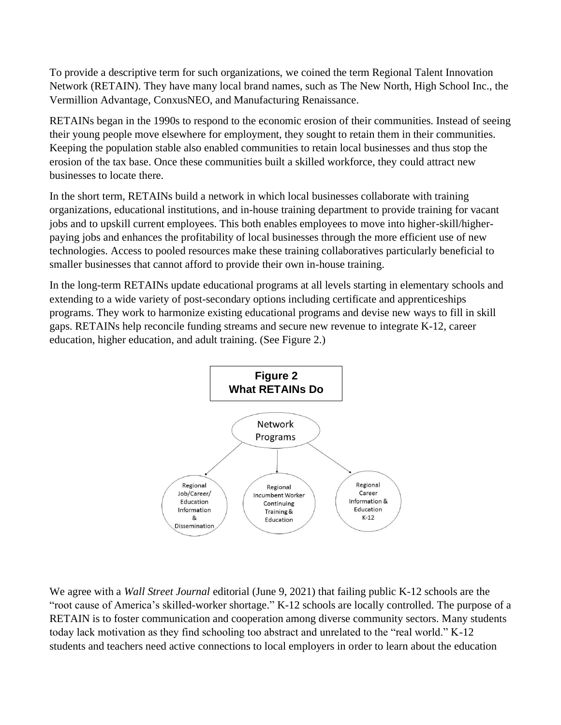To provide a descriptive term for such organizations, we coined the term Regional Talent Innovation Network (RETAIN). They have many local brand names, such as The New North, High School Inc., the Vermillion Advantage, ConxusNEO, and Manufacturing Renaissance.

RETAINs began in the 1990s to respond to the economic erosion of their communities. Instead of seeing their young people move elsewhere for employment, they sought to retain them in their communities. Keeping the population stable also enabled communities to retain local businesses and thus stop the erosion of the tax base. Once these communities built a skilled workforce, they could attract new businesses to locate there.

In the short term, RETAINs build a network in which local businesses collaborate with training organizations, educational institutions, and in-house training department to provide training for vacant jobs and to upskill current employees. This both enables employees to move into higher-skill/higherpaying jobs and enhances the profitability of local businesses through the more efficient use of new technologies. Access to pooled resources make these training collaboratives particularly beneficial to smaller businesses that cannot afford to provide their own in-house training.

In the long-term RETAINs update educational programs at all levels starting in elementary schools and extending to a wide variety of post-secondary options including certificate and apprenticeships programs. They work to harmonize existing educational programs and devise new ways to fill in skill gaps. RETAINs help reconcile funding streams and secure new revenue to integrate K-12, career education, higher education, and adult training. (See Figure 2.)



We agree with a *Wall Street Journal* editorial (June 9, 2021) that failing public K-12 schools are the "root cause of America's skilled-worker shortage." K-12 schools are locally controlled. The purpose of a RETAIN is to foster communication and cooperation among diverse community sectors. Many students today lack motivation as they find schooling too abstract and unrelated to the "real world." K-12 students and teachers need active connections to local employers in order to learn about the education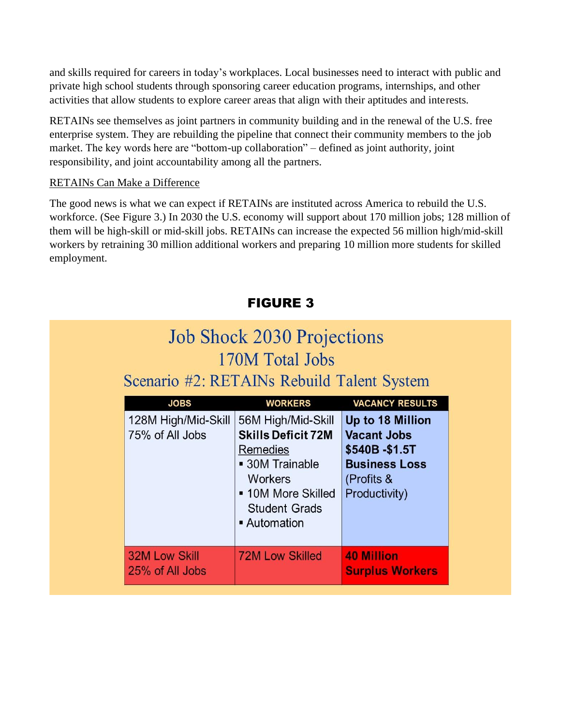and skills required for careers in today's workplaces. Local businesses need to interact with public and private high school students through sponsoring career education programs, internships, and other activities that allow students to explore career areas that align with their aptitudes and interests.

RETAINs see themselves as joint partners in community building and in the renewal of the U.S. free enterprise system. They are rebuilding the pipeline that connect their community members to the job market. The key words here are "bottom-up collaboration" – defined as joint authority, joint responsibility, and joint accountability among all the partners.

#### RETAINs Can Make a Difference

The good news is what we can expect if RETAINs are instituted across America to rebuild the U.S. workforce. (See Figure 3.) In 2030 the U.S. economy will support about 170 million jobs; 128 million of them will be high-skill or mid-skill jobs. RETAINs can increase the expected 56 million high/mid-skill workers by retraining 30 million additional workers and preparing 10 million more students for skilled employment.

| <b>Job Shock 2030 Projections</b><br>170M Total Jobs<br>Scenario #2: RETAINs Rebuild Talent System |                                                                                                                                                                |                                                                                                                |
|----------------------------------------------------------------------------------------------------|----------------------------------------------------------------------------------------------------------------------------------------------------------------|----------------------------------------------------------------------------------------------------------------|
| <b>JOBS</b>                                                                                        | <b>WORKERS</b>                                                                                                                                                 | <b>VACANCY RESULTS</b>                                                                                         |
| 128M High/Mid-Skill<br>75% of All Jobs                                                             | 56M High/Mid-Skill<br><b>Skills Deficit 72M</b><br>Remedies<br>• 30M Trainable<br><b>Workers</b><br>• 10M More Skilled<br><b>Student Grads</b><br>• Automation | Up to 18 Million<br><b>Vacant Jobs</b><br>\$540B-\$1.5T<br><b>Business Loss</b><br>(Profits &<br>Productivity) |
| <b>32M Low Skill</b><br>25% of All Jobs                                                            | <b>72M Low Skilled</b>                                                                                                                                         | <b>40 Million</b><br><b>Surplus Workers</b>                                                                    |

# FIGURE 3